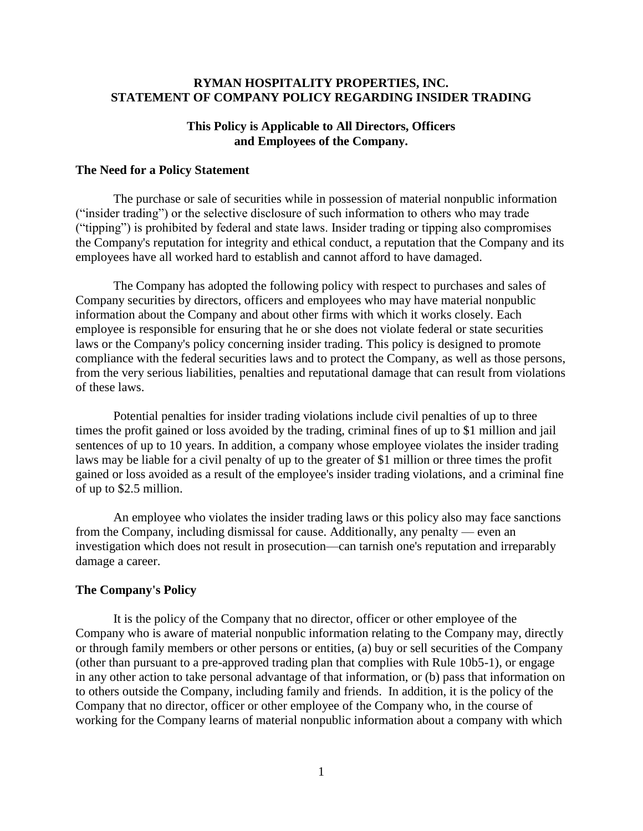### **RYMAN HOSPITALITY PROPERTIES, INC. STATEMENT OF COMPANY POLICY REGARDING INSIDER TRADING**

# **This Policy is Applicable to All Directors, Officers and Employees of the Company.**

### **The Need for a Policy Statement**

The purchase or sale of securities while in possession of material nonpublic information ("insider trading") or the selective disclosure of such information to others who may trade ("tipping") is prohibited by federal and state laws. Insider trading or tipping also compromises the Company's reputation for integrity and ethical conduct, a reputation that the Company and its employees have all worked hard to establish and cannot afford to have damaged.

The Company has adopted the following policy with respect to purchases and sales of Company securities by directors, officers and employees who may have material nonpublic information about the Company and about other firms with which it works closely. Each employee is responsible for ensuring that he or she does not violate federal or state securities laws or the Company's policy concerning insider trading. This policy is designed to promote compliance with the federal securities laws and to protect the Company, as well as those persons, from the very serious liabilities, penalties and reputational damage that can result from violations of these laws.

Potential penalties for insider trading violations include civil penalties of up to three times the profit gained or loss avoided by the trading, criminal fines of up to \$1 million and jail sentences of up to 10 years. In addition, a company whose employee violates the insider trading laws may be liable for a civil penalty of up to the greater of \$1 million or three times the profit gained or loss avoided as a result of the employee's insider trading violations, and a criminal fine of up to \$2.5 million.

An employee who violates the insider trading laws or this policy also may face sanctions from the Company, including dismissal for cause. Additionally, any penalty — even an investigation which does not result in prosecution—can tarnish one's reputation and irreparably damage a career.

#### **The Company's Policy**

It is the policy of the Company that no director, officer or other employee of the Company who is aware of material nonpublic information relating to the Company may, directly or through family members or other persons or entities, (a) buy or sell securities of the Company (other than pursuant to a pre-approved trading plan that complies with Rule 10b5-1), or engage in any other action to take personal advantage of that information, or (b) pass that information on to others outside the Company, including family and friends. In addition, it is the policy of the Company that no director, officer or other employee of the Company who, in the course of working for the Company learns of material nonpublic information about a company with which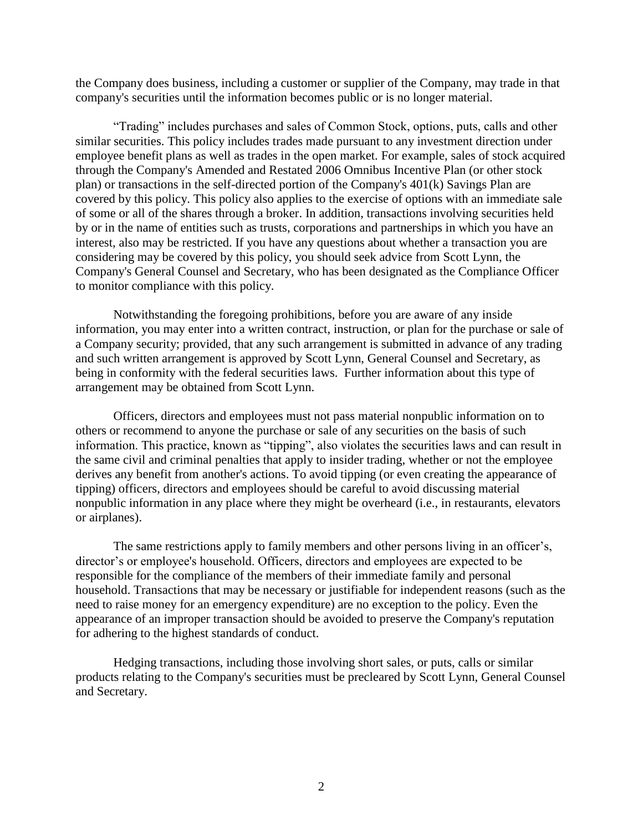the Company does business, including a customer or supplier of the Company, may trade in that company's securities until the information becomes public or is no longer material.

"Trading" includes purchases and sales of Common Stock, options, puts, calls and other similar securities. This policy includes trades made pursuant to any investment direction under employee benefit plans as well as trades in the open market. For example, sales of stock acquired through the Company's Amended and Restated 2006 Omnibus Incentive Plan (or other stock plan) or transactions in the self-directed portion of the Company's 401(k) Savings Plan are covered by this policy. This policy also applies to the exercise of options with an immediate sale of some or all of the shares through a broker. In addition, transactions involving securities held by or in the name of entities such as trusts, corporations and partnerships in which you have an interest, also may be restricted. If you have any questions about whether a transaction you are considering may be covered by this policy, you should seek advice from Scott Lynn, the Company's General Counsel and Secretary, who has been designated as the Compliance Officer to monitor compliance with this policy.

Notwithstanding the foregoing prohibitions, before you are aware of any inside information, you may enter into a written contract, instruction, or plan for the purchase or sale of a Company security; provided, that any such arrangement is submitted in advance of any trading and such written arrangement is approved by Scott Lynn, General Counsel and Secretary, as being in conformity with the federal securities laws. Further information about this type of arrangement may be obtained from Scott Lynn.

Officers, directors and employees must not pass material nonpublic information on to others or recommend to anyone the purchase or sale of any securities on the basis of such information. This practice, known as "tipping", also violates the securities laws and can result in the same civil and criminal penalties that apply to insider trading, whether or not the employee derives any benefit from another's actions. To avoid tipping (or even creating the appearance of tipping) officers, directors and employees should be careful to avoid discussing material nonpublic information in any place where they might be overheard (i.e., in restaurants, elevators or airplanes).

The same restrictions apply to family members and other persons living in an officer's, director's or employee's household. Officers, directors and employees are expected to be responsible for the compliance of the members of their immediate family and personal household. Transactions that may be necessary or justifiable for independent reasons (such as the need to raise money for an emergency expenditure) are no exception to the policy. Even the appearance of an improper transaction should be avoided to preserve the Company's reputation for adhering to the highest standards of conduct.

Hedging transactions, including those involving short sales, or puts, calls or similar products relating to the Company's securities must be precleared by Scott Lynn, General Counsel and Secretary.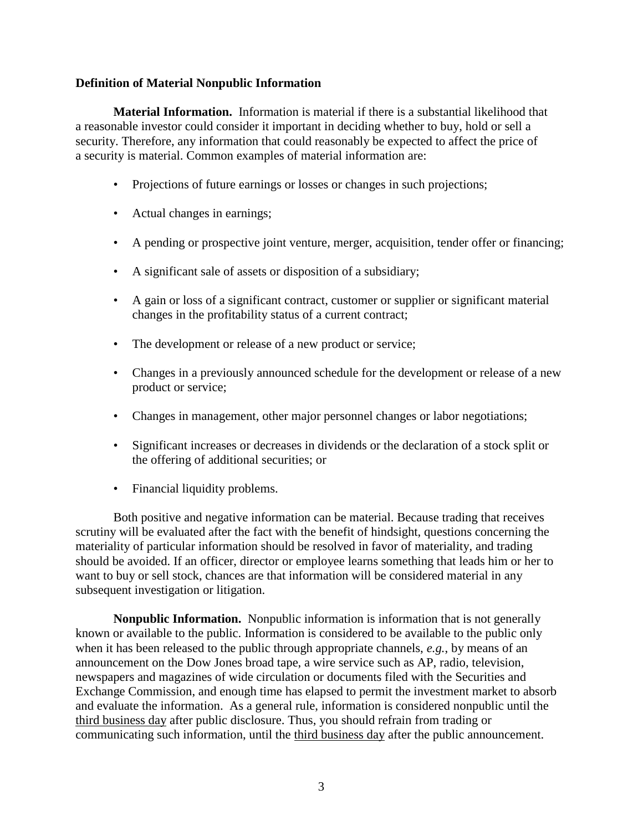## **Definition of Material Nonpublic Information**

**Material Information.** Information is material if there is a substantial likelihood that a reasonable investor could consider it important in deciding whether to buy, hold or sell a security. Therefore, any information that could reasonably be expected to affect the price of a security is material. Common examples of material information are:

- Projections of future earnings or losses or changes in such projections;
- Actual changes in earnings;
- A pending or prospective joint venture, merger, acquisition, tender offer or financing;
- A significant sale of assets or disposition of a subsidiary;
- A gain or loss of a significant contract, customer or supplier or significant material changes in the profitability status of a current contract;
- The development or release of a new product or service;
- Changes in a previously announced schedule for the development or release of a new product or service;
- Changes in management, other major personnel changes or labor negotiations;
- Significant increases or decreases in dividends or the declaration of a stock split or the offering of additional securities; or
- Financial liquidity problems.

Both positive and negative information can be material. Because trading that receives scrutiny will be evaluated after the fact with the benefit of hindsight, questions concerning the materiality of particular information should be resolved in favor of materiality, and trading should be avoided. If an officer, director or employee learns something that leads him or her to want to buy or sell stock, chances are that information will be considered material in any subsequent investigation or litigation.

**Nonpublic Information.** Nonpublic information is information that is not generally known or available to the public. Information is considered to be available to the public only when it has been released to the public through appropriate channels, *e.g.*, by means of an announcement on the Dow Jones broad tape, a wire service such as AP, radio, television, newspapers and magazines of wide circulation or documents filed with the Securities and Exchange Commission, and enough time has elapsed to permit the investment market to absorb and evaluate the information. As a general rule, information is considered nonpublic until the third business day after public disclosure. Thus, you should refrain from trading or communicating such information, until the third business day after the public announcement.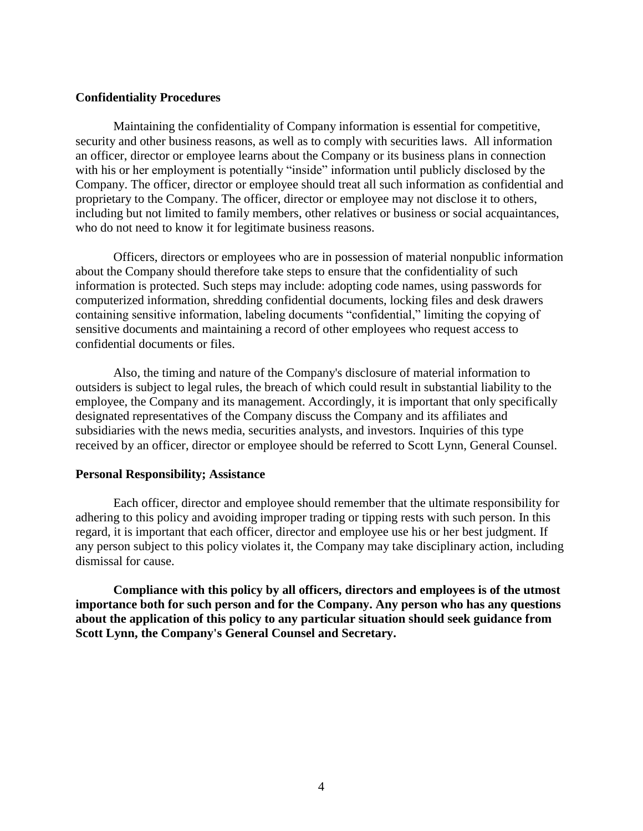### **Confidentiality Procedures**

Maintaining the confidentiality of Company information is essential for competitive, security and other business reasons, as well as to comply with securities laws. All information an officer, director or employee learns about the Company or its business plans in connection with his or her employment is potentially "inside" information until publicly disclosed by the Company. The officer, director or employee should treat all such information as confidential and proprietary to the Company. The officer, director or employee may not disclose it to others, including but not limited to family members, other relatives or business or social acquaintances, who do not need to know it for legitimate business reasons.

Officers, directors or employees who are in possession of material nonpublic information about the Company should therefore take steps to ensure that the confidentiality of such information is protected. Such steps may include: adopting code names, using passwords for computerized information, shredding confidential documents, locking files and desk drawers containing sensitive information, labeling documents "confidential," limiting the copying of sensitive documents and maintaining a record of other employees who request access to confidential documents or files.

Also, the timing and nature of the Company's disclosure of material information to outsiders is subject to legal rules, the breach of which could result in substantial liability to the employee, the Company and its management. Accordingly, it is important that only specifically designated representatives of the Company discuss the Company and its affiliates and subsidiaries with the news media, securities analysts, and investors. Inquiries of this type received by an officer, director or employee should be referred to Scott Lynn, General Counsel.

#### **Personal Responsibility; Assistance**

Each officer, director and employee should remember that the ultimate responsibility for adhering to this policy and avoiding improper trading or tipping rests with such person. In this regard, it is important that each officer, director and employee use his or her best judgment. If any person subject to this policy violates it, the Company may take disciplinary action, including dismissal for cause.

**Compliance with this policy by all officers, directors and employees is of the utmost importance both for such person and for the Company. Any person who has any questions about the application of this policy to any particular situation should seek guidance from Scott Lynn, the Company's General Counsel and Secretary.**